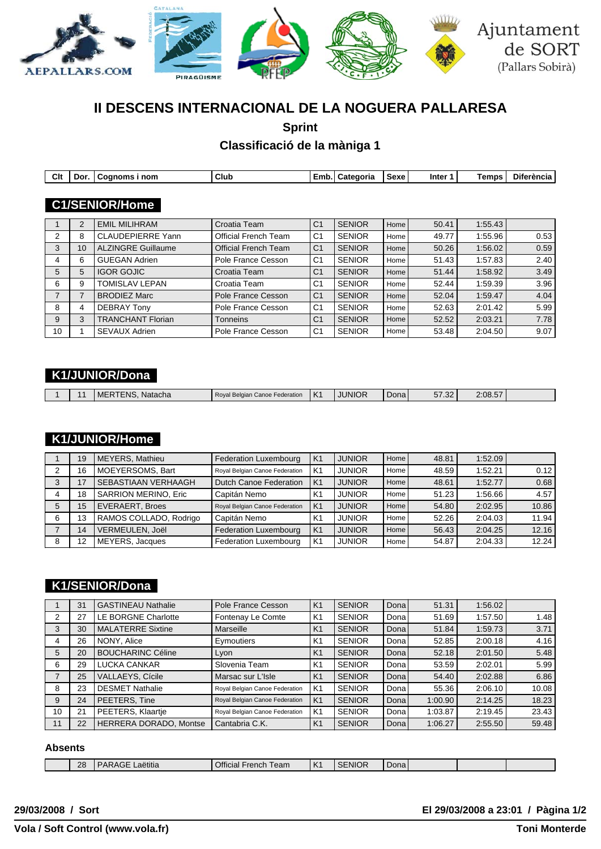

# **II DESCENS INTERNACIONAL DE LA NOGUERA PALLARESA**

**Sprint**

**Classificació de la màniga 1**

| Clt | Dor. | Cognoms i nom             | Club                        | Emb.           | Categoria     | Sexe | Inter 1 | Temps   | <b>Diferència</b> |
|-----|------|---------------------------|-----------------------------|----------------|---------------|------|---------|---------|-------------------|
|     |      |                           |                             |                |               |      |         |         |                   |
|     |      | <b>C1/SENIOR/Home</b>     |                             |                |               |      |         |         |                   |
|     |      |                           |                             |                |               |      |         |         |                   |
|     | 2    | <b>EMIL MILIHRAM</b>      | Croatia Team                | C <sub>1</sub> | <b>SENIOR</b> | Home | 50.41   | 1:55.43 |                   |
| 2   | 8    | <b>CLAUDEPIERRE Yann</b>  | Official French Team        | C <sub>1</sub> | <b>SENIOR</b> | Home | 49.77   | 1:55.96 | 0.53              |
| 3   | 10   | <b>ALZINGRE Guillaume</b> | <b>Official French Team</b> | C <sub>1</sub> | <b>SENIOR</b> | Home | 50.26   | 1:56.02 | 0.59              |
| 4   | 6    | <b>GUEGAN Adrien</b>      | Pole France Cesson          | C <sub>1</sub> | <b>SENIOR</b> | Home | 51.43   | 1:57.83 | 2.40              |
| 5   | 5    | <b>IGOR GOJIC</b>         | Croatia Team                | C <sub>1</sub> | <b>SENIOR</b> | Home | 51.44   | 1:58.92 | 3.49              |
| 6   | 9    | <b>TOMISLAV LEPAN</b>     | Croatia Team                | C <sub>1</sub> | <b>SENIOR</b> | Home | 52.44   | 1:59.39 | 3.96              |
| 7   | 7    | <b>BRODIEZ Marc</b>       | Pole France Cesson          | C <sub>1</sub> | <b>SENIOR</b> | Home | 52.04   | 1:59.47 | 4.04              |
| 8   | 4    | <b>DEBRAY Tony</b>        | Pole France Cesson          | C <sub>1</sub> | <b>SENIOR</b> | Home | 52.63   | 2:01.42 | 5.99              |
| 9   | 3    | <b>TRANCHANT Florian</b>  | Tonneins                    | C <sub>1</sub> | <b>SENIOR</b> | Home | 52.52   | 2:03.21 | 7.78              |
| 10  |      | SEVAUX Adrien             | Pole France Cesson          | C <sub>1</sub> | <b>SENIOR</b> | Home | 53.48   | 2:04.50 | 9.07              |

# **K1/JUNIOR/Dona**

|  |  |  | .FNS<br>Natacha | Roval<br>Belgian<br>i Canoe Federation. | 'K' | JUNIOR | Dona | $-$<br>$\sim$<br>∽ /<br>ےں ، ں<br>_____ | $ -$<br>2:08.57 |  |
|--|--|--|-----------------|-----------------------------------------|-----|--------|------|-----------------------------------------|-----------------|--|
|--|--|--|-----------------|-----------------------------------------|-----|--------|------|-----------------------------------------|-----------------|--|

# **K1/JUNIOR/Home**

|   | 19 | MEYERS, Mathieu            | <b>Federation Luxembourg</b>   | K <sub>1</sub> | <b>JUNIOR</b> | Home I | 48.81 | 1:52.09 |       |
|---|----|----------------------------|--------------------------------|----------------|---------------|--------|-------|---------|-------|
| 2 | 16 | MOEYERSOMS, Bart           | Royal Belgian Canoe Federation | K1             | <b>JUNIOR</b> | Home I | 48.59 | 1:52.21 | 0.12  |
|   | 17 | <b>SEBASTIAAN VERHAAGH</b> | Dutch Canoe Federation         | <b>K1</b>      | <b>JUNIOR</b> | Home I | 48.61 | 1:52.77 | 0.68  |
|   | 18 | SARRION MERINO, Eric       | Capitán Nemo                   | K <sub>1</sub> | <b>JUNIOR</b> | Home I | 51.23 | 1:56.66 | 4.57  |
|   | 15 | <b>EVERAERT, Broes</b>     | Royal Belgian Canoe Federation | K <sub>1</sub> | <b>JUNIOR</b> | Home I | 54.80 | 2:02.95 | 10.86 |
| 6 | 13 | RAMOS COLLADO, Rodrigo     | Capitán Nemo                   | K <sub>1</sub> | <b>JUNIOR</b> | Home   | 52.26 | 2:04.03 | 11.94 |
|   | 14 | VERMEULEN, Joël            | Federation Luxembourg          | K <sub>1</sub> | <b>JUNIOR</b> | Home I | 56.43 | 2:04.25 | 12.16 |
| 8 | 12 | MEYERS, Jacques            | Federation Luxembourg          | K <sub>1</sub> | <b>JUNIOR</b> | Home   | 54.87 | 2:04.33 | 12.24 |

## **K1/SENIOR/Dona**

|    | 31 | <b>GASTINEAU Nathalie</b>  | Pole France Cesson             | K <sub>1</sub> | <b>SENIOR</b> | Dona  | 51.31   | 1:56.02 |       |
|----|----|----------------------------|--------------------------------|----------------|---------------|-------|---------|---------|-------|
| 2  | 27 | <b>LE BORGNE Charlotte</b> | Fontenay Le Comte              | K <sub>1</sub> | <b>SENIOR</b> | Dona  | 51.69   | 1:57.50 | 1.48  |
| 3  | 30 | <b>MALATERRE Sixtine</b>   | Marseille                      | K <sub>1</sub> | <b>SENIOR</b> | Donal | 51.84   | 1:59.73 | 3.71  |
| 4  | 26 | NONY, Alice                | Eymoutiers                     | K <sub>1</sub> | <b>SENIOR</b> | Dona  | 52.85   | 2:00.18 | 4.16  |
| 5  | 20 | <b>BOUCHARINC Céline</b>   | Lyon                           | K <sub>1</sub> | <b>SENIOR</b> | Donal | 52.18   | 2:01.50 | 5.48  |
| 6  | 29 | <b>LUCKA CANKAR</b>        | Slovenia Team                  | K <sub>1</sub> | <b>SENIOR</b> | Dona  | 53.59   | 2:02.01 | 5.99  |
|    | 25 | <b>VALLAEYS, Cícile</b>    | Marsac sur L'Isle              | K <sub>1</sub> | <b>SENIOR</b> | Donal | 54.40   | 2:02.88 | 6.86  |
| 8  | 23 | <b>DESMET Nathalie</b>     | Royal Belgian Canoe Federation | K1             | <b>SENIOR</b> | Dona  | 55.36   | 2:06.10 | 10.08 |
| 9  | 24 | PEETERS, Tine              | Royal Belgian Canoe Federation | K <sub>1</sub> | <b>SENIOR</b> | Dona  | 1:00.90 | 2:14.25 | 18.23 |
| 10 | 21 | PEETERS, Klaartje          | Royal Belgian Canoe Federation | K1             | <b>SENIOR</b> | Dona  | 1:03.87 | 2:19.45 | 23.43 |
| 11 | 22 | HERRERA DORADO, Montse     | Cantabria C.K.                 | K <sub>1</sub> | <b>SENIOR</b> | Dona  | 1:06.27 | 2:55.50 | 59.48 |

#### **Absents**

| 28 | <br>aetitia<br>. | $\ddotsc$<br>l eam<br>)ttı<br>ual.<br>וישופו<br>_____ | .<br>$\sim$<br>$\cdot$ $\cdot$ | ENIOR<br>n r<br>OГ | ⊃ona⊥ |  |  |
|----|------------------|-------------------------------------------------------|--------------------------------|--------------------|-------|--|--|
|    |                  |                                                       |                                |                    |       |  |  |

**29/03/2008 / Sort El 29/03/2008 a 23:01 / Pàgina 1/2**